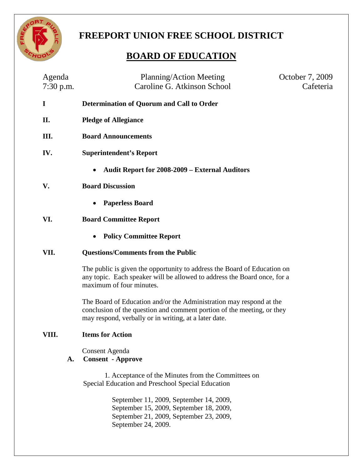

# **FREEPORT UNION FREE SCHOOL DISTRICT**

# **BOARD OF EDUCATION**

| Agenda<br>7:30 p.m. | Planning/Action Meeting<br>Caroline G. Atkinson School                                                                                                                                                 | October 7, 2009<br>Cafeteria |
|---------------------|--------------------------------------------------------------------------------------------------------------------------------------------------------------------------------------------------------|------------------------------|
| I                   | Determination of Quorum and Call to Order                                                                                                                                                              |                              |
| П.                  | <b>Pledge of Allegiance</b>                                                                                                                                                                            |                              |
| Ш.                  | <b>Board Announcements</b>                                                                                                                                                                             |                              |
| IV.                 | <b>Superintendent's Report</b>                                                                                                                                                                         |                              |
|                     | <b>Audit Report for 2008-2009 – External Auditors</b>                                                                                                                                                  |                              |
| V.                  | <b>Board Discussion</b>                                                                                                                                                                                |                              |
|                     | <b>Paperless Board</b><br>$\bullet$                                                                                                                                                                    |                              |
| VI.                 | <b>Board Committee Report</b>                                                                                                                                                                          |                              |
|                     | <b>Policy Committee Report</b>                                                                                                                                                                         |                              |
| VII.                | <b>Questions/Comments from the Public</b>                                                                                                                                                              |                              |
|                     | The public is given the opportunity to address the Board of Education on<br>any topic. Each speaker will be allowed to address the Board once, for a<br>maximum of four minutes.                       |                              |
|                     | The Board of Education and/or the Administration may respond at the<br>conclusion of the question and comment portion of the meeting, or they<br>may respond, verbally or in writing, at a later date. |                              |
| VIII.               | <b>Items for Action</b>                                                                                                                                                                                |                              |
| A.                  | <b>Consent Agenda</b><br><b>Consent - Approve</b>                                                                                                                                                      |                              |
|                     | 1. Acceptance of the Minutes from the Committees on<br>Special Education and Preschool Special Education                                                                                               |                              |
|                     | September 11, 2009, September 14, 2009,<br>September 15, 2009, September 18, 2009,<br>September 21, 2009, September 23, 2009,                                                                          |                              |

September 24, 2009.